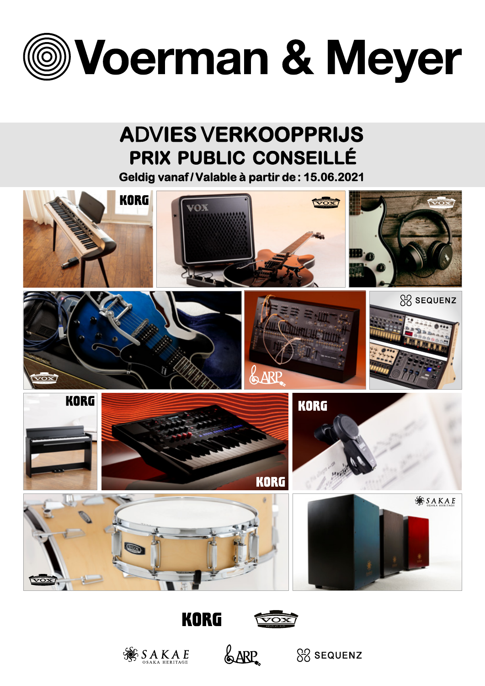

# **ADVIES VERKOOPPRIJS PRIX PUBLIC CONSEILLÉ**

**Geldig vanaf / Valable à partir de : 15.06.2021**





**SAKAE** 

&ARP.



 $88$  sequenz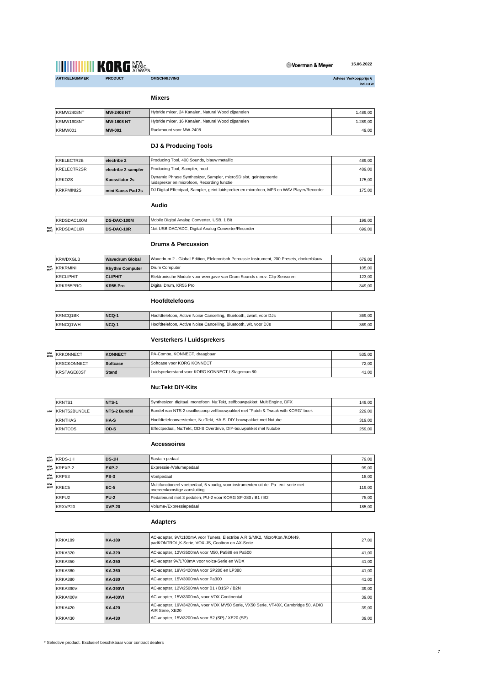

**15.06.2022** Voerman & Meyer

Advies Verkoopprijs €<br>incl.BTW

**Mixers**

| KRMW2408NT | <b>MW-2408 NT</b> | Hybride mixer, 24 Kanalen, Natural Wood zijpanelen | 1.489.00 |
|------------|-------------------|----------------------------------------------------|----------|
| KRMW1608NT | <b>MW-1608 NT</b> | Hybride mixer, 16 Kanalen, Natural Wood zijpanelen | 1.289.00 |
| KRMW001    | MW-001            | Rackmount voor MW-2408                             | 49.00    |

#### **DJ & Producing Tools**

| KRELECTR2B        | electribe 2         | Producing Tool, 400 Sounds, blauw metallic                                                                      | 489.00 |
|-------------------|---------------------|-----------------------------------------------------------------------------------------------------------------|--------|
| KRELECTR2SR       | electribe 2 sampler | Producing Tool, Sampler, rood                                                                                   | 489.00 |
| KRKO2S            | Kaossilator 2s      | Dynamic Phrase Synthesizer, Sampler, microSD slot, geintegreerde<br>luidspreker en microfoon. Recording functie | 175.00 |
| <b>KRKPMINI2S</b> | mini Kaoss Pad 2s   | DJ Digital Effectpad, Sampler, geint luidspreker en microfoon, MP3 en WAV Player/Recorder                       | 175.00 |

#### **Audio**

| KRDSDAC100M    | DS-DAC-100M       | Mobile Digital Analog Converter, USB, 1 Bit         | 199.00 |
|----------------|-------------------|-----------------------------------------------------|--------|
| NEW KRDSDAC10R | <b>DS-DAC-10R</b> | 1bit USB DAC/ADC, Digital Analog Converter/Recorder | 699.00 |

#### **Drums & Percussion**

| <b>KRWDXGLB</b>  | <b>Wavedrum Global</b> | IWavedrum 2 - Global Edition, Elektronisch Percussie Instrument, 200 Presets, donkerblauw | 679.00 |
|------------------|------------------------|-------------------------------------------------------------------------------------------|--------|
| NEW KRKRMINI     | <b>Rhythm Computer</b> | Drum Computer                                                                             | 105.00 |
| <b>KRCLIPHIT</b> | <b>CLIPHIT</b>         | Elektronische Module voor weergave van Drum Sounds d.m.v. Clip-Sensoren                   | 123.00 |
| KRKR55PRO        | KR55 Pro               | Digital Drum, KR55 Pro                                                                    | 349.00 |

### **Hoofdtelefoons**

| <b>KRNCQ1BK</b> | NCQ-1 | Hoofdtelefoon, Active Noise Cancelling, Bluetooth, zwart, voor DJs | 369.00 |
|-----------------|-------|--------------------------------------------------------------------|--------|
| <b>KRNCQ1WH</b> | NCQ-1 | Hoofdtelefoon, Active Noise Cancelling, Bluetooth, wit, voor DJs   | 369.00 |

### **Versterkers / Luidsprekers**

| NEW KRKONNECT      | <b>KONNECT</b>  | PA-Combo, KONNECT, draagbaar                     | 535.00 |
|--------------------|-----------------|--------------------------------------------------|--------|
| <b>KRSCKONNECT</b> | <b>Softcase</b> | Softcase voor KORG KONNECT                       | 72.00  |
| KRSTAGE80ST        | <b>Stand</b>    | Luidsprekerstand voor KORG KONNECT / Stageman 80 | 41.00  |

#### **Nu:Tekt DIY-Kits**

| <b>KRNTS1</b>           | NTS-1        | Synthesizer, digitaal, monofoon, Nu:Tekt, zelfbouwpakket, MultiEngine, DFX      | 149.00 L |
|-------------------------|--------------|---------------------------------------------------------------------------------|----------|
| <b>NEW KRNTS2BUNDLE</b> | NTS-2 Bundel | Bundel van NTS-2 oscilloscoop zelfbouwpakket met "Patch & Tweak with KORG" boek | 229.00   |
| <b>KRNTHAS</b>          | <b>HA-S</b>  | Hoofdtelefoonversterker, Nu:Tekt, HA-S, DIY-bouwpakket met Nutube               | 319.00 l |
| <b>KRNTODS</b>          | OD-S         | Effectpedaal, Nu:Tekt, OD-S Overdrive, DIY-bouwpakket met Nutube                | 259.00   |

#### **Accessoires**

|     | NEW KRDS-1H       | <b>DS-1H</b>  | Sustain pedaal                                                                                                    | 79.00  |
|-----|-------------------|---------------|-------------------------------------------------------------------------------------------------------------------|--------|
|     | NEW KREXP-2       | EXP-2         | Expressie-/Volumepedaal                                                                                           | 99.00  |
|     | NEW KRPS3         | <b>PS-3</b>   | Voetpedaal                                                                                                        | 18.00  |
| NEW | PRICE KREC5       | <b>EC-5</b>   | Multifunctioneel voetpedaal, 5-voudig, voor instrumenten uit de Pa- en i-serie met<br>overeenkomstige aansluiting | 119.00 |
|     | KRPU <sub>2</sub> | <b>PU-2</b>   | Pedalenunit met 3 pedalen, PU-2 voor KORG SP-280 / B1 / B2                                                        | 75.00  |
|     | KRXVP20           | <b>XVP-20</b> | Volume-/Expressiepedaal                                                                                           | 185.00 |

### **Adapters**

| <b>KRKA189</b> | AC-adapter, 9V/1100mA voor Tuners, Electribe A, R, S/MK2, Micro/Kon./KON49,<br><b>KA-189</b><br>padKONTROL.K-Serie, VOX-JS, Cooltron en AX-Serie |                                                                                                       | 27.00 |
|----------------|--------------------------------------------------------------------------------------------------------------------------------------------------|-------------------------------------------------------------------------------------------------------|-------|
| <b>KRKA320</b> | KA-320                                                                                                                                           | AC-adapter, 12V/3500mA voor M50, Pa588 en Pa500                                                       | 41.00 |
| <b>KRKA350</b> | KA-350                                                                                                                                           | AC-adapter 9V/1700mA voor volca-Serie en WDX                                                          | 41.00 |
| KRKA360        | KA-360                                                                                                                                           | AC-adapter, 19V/3420mA voor SP280 en LP380                                                            | 41.00 |
| KRKA380        | <b>KA-380</b>                                                                                                                                    | AC-adapter, 15V/3000mA voor Pa300                                                                     | 41.00 |
| KRKA390VI      | <b>KA-390VI</b>                                                                                                                                  | AC-adapter, 12V/2500mA voor B1 / B1SP / B2N                                                           | 39.00 |
| KRKA400VI      | <b>KA-400VI</b>                                                                                                                                  | AC-adapter, 15V/3300mA, voor VOX Continental                                                          | 39,00 |
| <b>KRKA420</b> | KA-420                                                                                                                                           | AC-adapter, 19V/3420mA, voor VOX MV50 Serie, VX50 Serie, VT40X, Cambridge 50, ADIO<br>AIR Serie, XE20 | 39.00 |
| KRKA430        | <b>KA-430</b>                                                                                                                                    | AC-adapter, 15V/3200mA voor B2 (SP) / XE20 (SP)                                                       | 39.00 |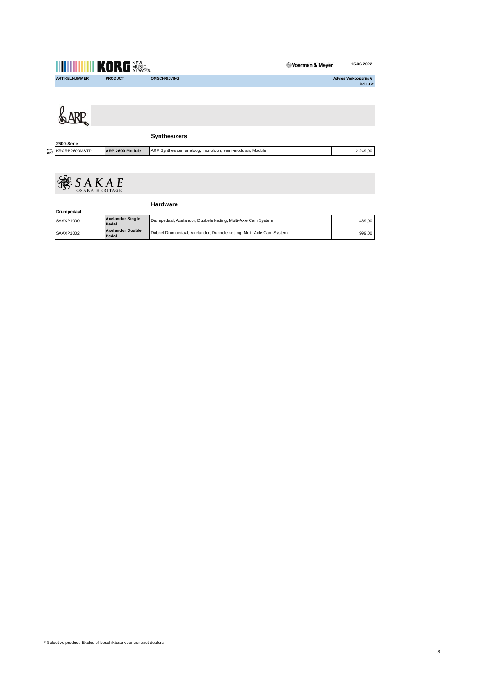|              |                      | <b>THEFE YORG WASKS</b> |                                                           | Voerman & Meyer | 15.06.2022                        |
|--------------|----------------------|-------------------------|-----------------------------------------------------------|-----------------|-----------------------------------|
|              | <b>ARTIKELNUMMER</b> | <b>PRODUCT</b>          | <b>OMSCHRIJVING</b>                                       |                 | Advies Verkoopprijs €<br>incl.BTW |
|              |                      |                         |                                                           |                 |                                   |
|              |                      |                         |                                                           |                 |                                   |
|              | 2600-Serie           |                         | <b>Synthesizers</b>                                       |                 |                                   |
| NEW<br>PRICE | KRARP2600MSTD        | ARP 2600 Module         | ARP Synthesizer, analoog, monofoon, semi-modulair, Module |                 | 2.249,00                          |
|              |                      |                         |                                                           |                 |                                   |



|            |                                  | <b>Hardware</b>                                                      |        |  |
|------------|----------------------------------|----------------------------------------------------------------------|--------|--|
| Drumpedaal |                                  |                                                                      |        |  |
| SAAXP1000  | <b>Axelandor Single</b><br>Pedal | Drumpedaal, Axelandor, Dubbele ketting, Multi-Axle Cam System        | 469.00 |  |
| SAAXP1002  | <b>Axelandor Double</b><br>Pedal | Dubbel Drumpedaal, Axelandor, Dubbele ketting, Multi-Axle Cam System | 999.00 |  |

8